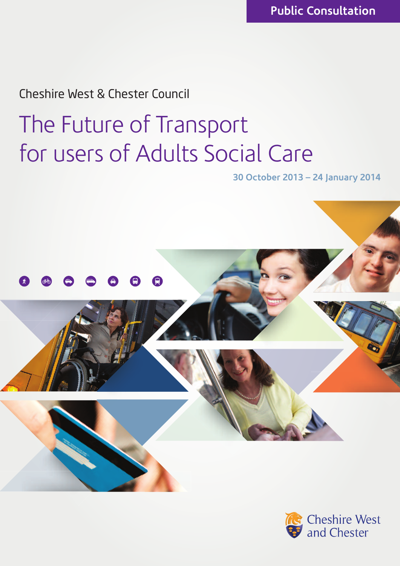# Cheshire West & Chester Council

# **The Future of Transport for users of Adults Social Care**

**30 October 2013 – 24 January 2014**



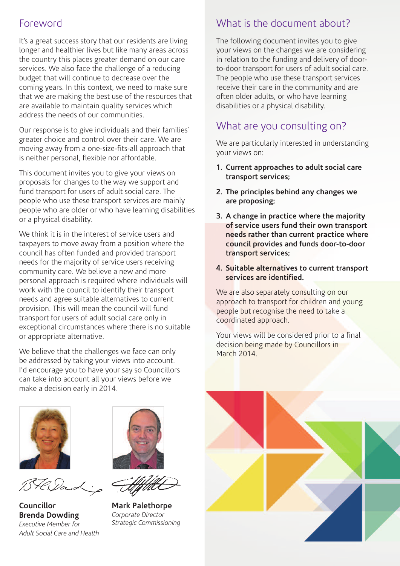## **Foreword**

**It's a great success story that our residents are living longer and healthier lives but like many areas across the country this places greater demand on our care services. We also face the challenge of a reducing budget that will continue to decrease over the coming years. In this context, we need to make sure that we are making the best use of the resources that are available to maintain quality services which address the needs of our communities.**

**Our response is to give individuals and their families' greater choice and control over their care. We are moving away from a one-size-fits-all approach that is neither personal, flexible nor affordable.**

**This document invites you to give your views on proposals for changes to the way we support and fund transport for users of adult social care. The people who use these transport services are mainly people who are older or who have learning disabilities or a physical disability.**

**We think it is in the interest of service users and taxpayers to move away from a position where the council has often funded and provided transport needs for the majority of service users receiving community care. We believe a new and more personal approach is required where individuals will work with the council to identify their transport needs and agree suitable alternatives to current provision. This will mean the council will fund transport for users of adult social care only in exceptional circumstances where there is no suitable or appropriate alternative.**

**We believe that the challenges we face can only be addressed by taking your views into account. I'd encourage you to have your say so Councillors can take into account all your views before we make a decision early in 2014.**



BH. Down

**Councillor Brenda Dowding** *Executive Member for Adult Social Care and Health*



**Mark Palethorpe** *Corporate Director Strategic Commissioning*

# **What is the document about?**

**The following document invites you to give your views on the changes we are considering in relation to the funding and delivery of doorto-door transport for users of adult social care. The people who use these transport services receive their care in the community and are often older adults, or who have learning disabilities or a physical disability.**

# **What are you consulting on?**

**We are particularly interested in understanding your views on:**

- **1. Current approaches to adult social care transport services;**
- **2. The principles behind any changes we are proposing;**
- **3. A change in practice where the majority of service users fund their own transport needs rather than current practice where council provides and funds door-to-door transport services;**
- **4. Suitable alternatives to current transport services are identified.**

**We are also separately consulting on our approach to transport for children and young people but recognise the need to take a coordinated approach.**

**Your views will be considered prior to a final decision being made by Councillors in March 2014.**

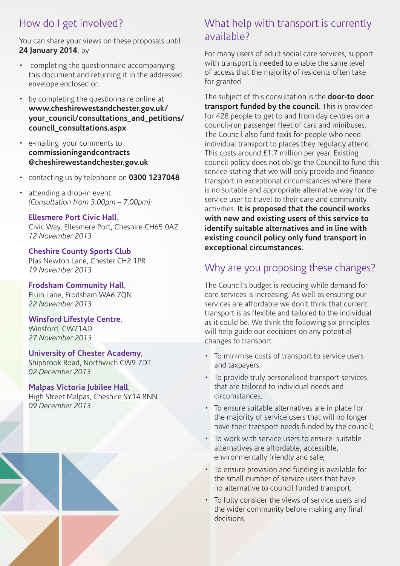# **How do I get involved?**

**You can share your views on these proposals until 24 January 2014, by**

- **• completing the questionnaire accompanying this document and returning it in the addressed envelope enclosed or:**
- **• by completing the questionnaire online at www.cheshirewestandchester.gov.uk/ your\_council/consultations\_and\_petitions/ council\_consultations.aspx**
- **• e-mailing your comments to commissioningandcontracts @cheshirewestandchester.gov.uk**
- **• contacting us by telephone on 0300 1237048**
- **• attending a drop-in event** *(Consultation from 3.00pm – 7.00pm):*

#### **Ellesmere Port Civic Hall,**

**Civic Way, Ellesmere Port, Cheshire CH65 0AZ** *12 November 2013*

**Cheshire County Sports Club, Plas Newton Lane, Chester CH2 1PR** *19 November 2013*

**Frodsham Community Hall, Fluin Lane, Frodsham WA6 7QN** *22 November 2013*

**Winsford Lifestyle Centre, Winsford, CW71AD**

*27 November 2013*

#### **University of Chester Academy,**

**Shipbrook Road, Northwich CW9 7DT** *02 December 2013*

#### **Malpas Victoria Jubilee Hall,**

**High Street Malpas, Cheshire SY14 8NN** *09 December 2013*

## **What help with transport is currently available?**

**For many users of adult social care services, support with transport is needed to enable the same level of access that the majority of residents often take for granted.**

**The subject of this consultation is the door-to door transport funded by the council. This is provided for 428 people to get to and from day centres on a council-run passenger fleet of cars and minibuses. The Council also fund taxis for people who need individual transport to places they regularly attend. This costs around £1.7 million per year. Existing council policy does not oblige the Council to fund this service stating that we will only provide and finance transport in exceptional circumstances where there is no suitable and appropriate alternative way for the service user to travel to their care and community activities. It is proposed that the council works with new and existing users of this service to identify suitable alternatives and in line with existing council policy only fund transport in exceptional circumstances.**

### **Why are you proposing these changes?**

**The Council's budget is reducing while demand for care services is increasing. As well as ensuring our services are affordable we don't think that current transport is as flexible and tailored to the individual as it could be. We think the following six principles will help guide our decisions on any potential changes to transport**

- **• To minimise costs of transport to service users and taxpayers.**
- **• To provide truly personalised transport services that are tailored to individual needs and circumstances;**
- **• To ensure suitable alternatives are in place for the majority of service users that will no longer have their transport needs funded by the council;**
- **• To work with service users to ensure suitable alternatives are affordable, accessible, environmentally friendly and safe;**
- **• To ensure provision and funding is available for the small number of service users that have no alternative to council funded transport;**
- **• To fully consider the views of service users and the wider community before making any final decisions.**